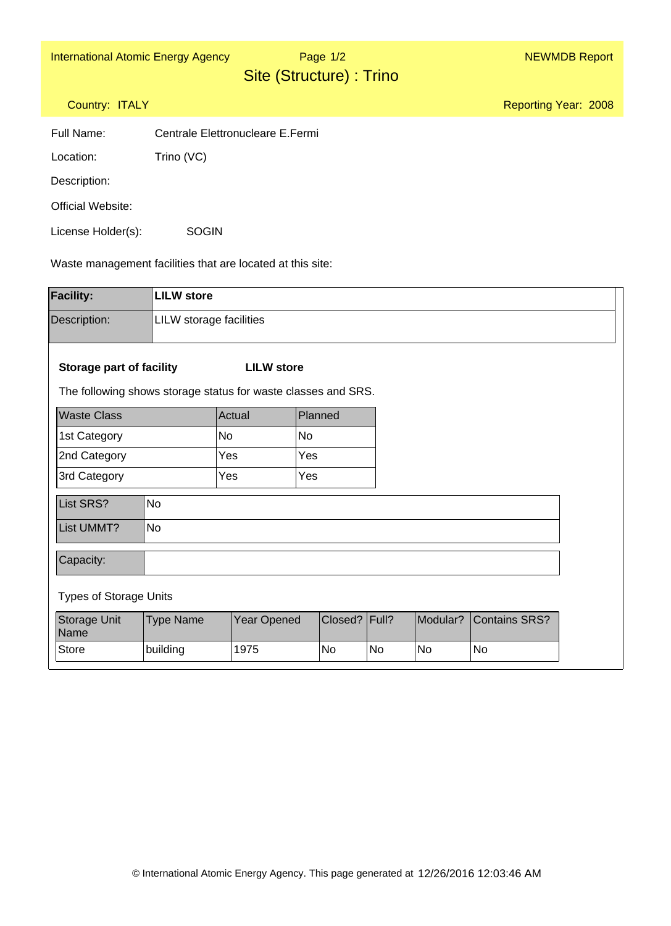Page 1/2

Reporting Year: 2008

Site (Structure) : Trino

## Country: ITALY

| Full Name: | Centrale Elettronucleare E.Fermi |  |
|------------|----------------------------------|--|
|            |                                  |  |

Location: Trino (VC)

Description:

Official Website:

License Holder(s): **SOGIN** 

Waste management facilities that are located at this site:

| <b>Facility:</b>                                              | <b>LILW</b> store       |                   |  |                 |    |           |                      |
|---------------------------------------------------------------|-------------------------|-------------------|--|-----------------|----|-----------|----------------------|
| Description:                                                  | LILW storage facilities |                   |  |                 |    |           |                      |
|                                                               |                         |                   |  |                 |    |           |                      |
| <b>Storage part of facility</b>                               |                         | <b>LILW</b> store |  |                 |    |           |                      |
| The following shows storage status for waste classes and SRS. |                         |                   |  |                 |    |           |                      |
| <b>Waste Class</b>                                            |                         | Planned<br>Actual |  |                 |    |           |                      |
| 1st Category                                                  |                         | No<br><b>No</b>   |  |                 |    |           |                      |
| 2nd Category                                                  |                         | Yes               |  |                 |    |           |                      |
| 3rd Category                                                  |                         | Yes               |  | Yes             |    |           |                      |
| List SRS?                                                     | <b>No</b>               |                   |  |                 |    |           |                      |
| List UMMT?                                                    | <b>No</b>               |                   |  |                 |    |           |                      |
| Capacity:                                                     |                         |                   |  |                 |    |           |                      |
| <b>Types of Storage Units</b>                                 |                         |                   |  |                 |    |           |                      |
| Storage Unit<br>Name                                          | <b>Type Name</b>        | Year Opened       |  | Closed?   Full? |    | Modular?  | <b>Contains SRS?</b> |
| <b>Store</b>                                                  | building                | 1975              |  | No              | No | <b>No</b> | No                   |